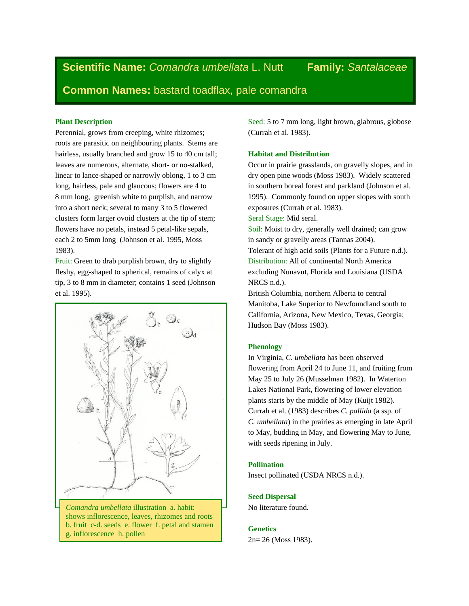**Scientific Name:** *Comandra umbellata* L. Nutt **Family:** *Santalaceae*

**Common Names:** bastard toadflax, pale comandra

# **Plant Description**

Perennial, grows from creeping, white rhizomes; roots are parasitic on neighbouring plants. Stems are hairless, usually branched and grow 15 to 40 cm tall; leaves are numerous, alternate, short- or no-stalked, linear to lance-shaped or narrowly oblong, 1 to 3 cm long, hairless, pale and glaucous; flowers are 4 to 8 mm long, greenish white to purplish, and narrow into a short neck; several to many 3 to 5 flowered clusters form larger ovoid clusters at the tip of stem; flowers have no petals, instead 5 petal-like sepals, each 2 to 5mm long (Johnson et al. 1995, Moss 1983).

Fruit: Green to drab purplish brown, dry to slightly fleshy, egg-shaped to spherical, remains of calyx at tip, 3 to 8 mm in diameter; contains 1 seed (Johnson et al. 1995).



*Comandra umbellata* illustration a. habit: shows inflorescence, leaves, rhizomes and roots b. fruit c-d. seeds e. flower f. petal and stamen g. inflorescence h. pollen

Seed: 5 to 7 mm long, light brown, glabrous, globose (Currah et al. 1983).

# **Habitat and Distribution**

Occur in prairie grasslands, on gravelly slopes, and in dry open pine woods (Moss 1983). Widely scattered in southern boreal forest and parkland (Johnson et al. 1995). Commonly found on upper slopes with south exposures (Currah et al. 1983).

Seral Stage: Mid seral.

Soil: Moist to dry, generally well drained; can grow in sandy or gravelly areas (Tannas 2004). Tolerant of high acid soils (Plants for a Future n.d.). Distribution: All of continental North America excluding Nunavut, Florida and Louisiana (USDA NRCS n.d.).

British Columbia, northern Alberta to central Manitoba, Lake Superior to Newfoundland south to California, Arizona, New Mexico, Texas, Georgia; Hudson Bay (Moss 1983).

# **Phenology**

In Virginia, *C. umbellata* has been observed flowering from April 24 to June 11, and fruiting from May 25 to July 26 (Musselman 1982). In Waterton Lakes National Park, flowering of lower elevation plants starts by the middle of May (Kuijt 1982). Currah et al. (1983) describes *C. pallida* (a ssp. of *C. umbellata*) in the prairies as emerging in late April to May, budding in May, and flowering May to June, with seeds ripening in July.

## **Pollination**

Insect pollinated (USDA NRCS n.d.).

# **Seed Dispersal**

No literature found.

## **Genetics**

2n= 26 (Moss 1983).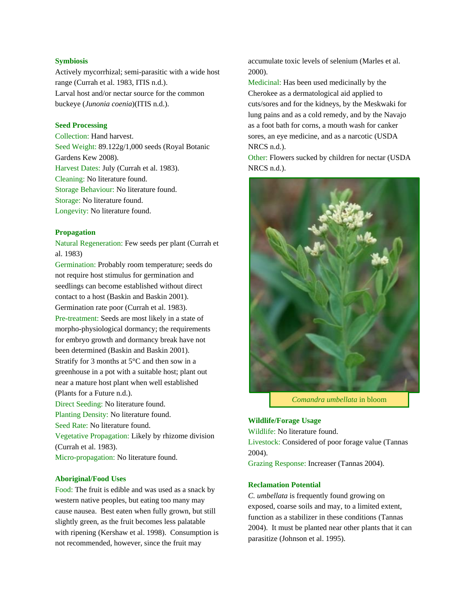## **Symbiosis**

Actively mycorrhizal; semi-parasitic with a wide host range (Currah et al. 1983, ITIS n.d.). Larval host and/or nectar source for the common buckeye (*Junonia coenia*)(ITIS n.d.).

# **Seed Processing**

Collection: Hand harvest. Seed Weight: 89.122g/1,000 seeds (Royal Botanic Gardens Kew 2008). Harvest Dates: July (Currah et al. 1983). Cleaning: No literature found. Storage Behaviour: No literature found. Storage: No literature found. Longevity: No literature found.

#### **Propagation**

Natural Regeneration: Few seeds per plant (Currah et al. 1983)

Germination: Probably room temperature; seeds do not require host stimulus for germination and seedlings can become established without direct contact to a host (Baskin and Baskin 2001). Germination rate poor (Currah et al. 1983). Pre-treatment: Seeds are most likely in a state of morpho-physiological dormancy; the requirements for embryo growth and dormancy break have not been determined (Baskin and Baskin 2001). Stratify for 3 months at 5°C and then sow in a greenhouse in a pot with a suitable host; plant out near a mature host plant when well established (Plants for a Future n.d.). Direct Seeding: No literature found. Planting Density: No literature found. Seed Rate: No literature found. Vegetative Propagation: Likely by rhizome division (Currah et al. 1983).

Micro-propagation: No literature found.

## **Aboriginal/Food Uses**

Food: The fruit is edible and was used as a snack by western native peoples, but eating too many may cause nausea. Best eaten when fully grown, but still slightly green, as the fruit becomes less palatable with ripening (Kershaw et al. 1998). Consumption is not recommended, however, since the fruit may

accumulate toxic levels of selenium (Marles et al. 2000).

Medicinal: Has been used medicinally by the Cherokee as a dermatological aid applied to cuts/sores and for the kidneys, by the Meskwaki for lung pains and as a cold remedy, and by the Navajo as a foot bath for corns, a mouth wash for canker sores, an eye medicine, and as a narcotic (USDA NRCS n.d.).

Other: Flowers sucked by children for nectar (USDA NRCS n.d.).



*Comandra umbellata* in bloom

## **Wildlife/Forage Usage**

Wildlife: No literature found.

Livestock: Considered of poor forage value (Tannas 2004).

Grazing Response: Increaser (Tannas 2004).

## **Reclamation Potential**

*C. umbellata* is frequently found growing on exposed, coarse soils and may, to a limited extent, function as a stabilizer in these conditions (Tannas 2004). It must be planted near other plants that it can parasitize (Johnson et al. 1995).